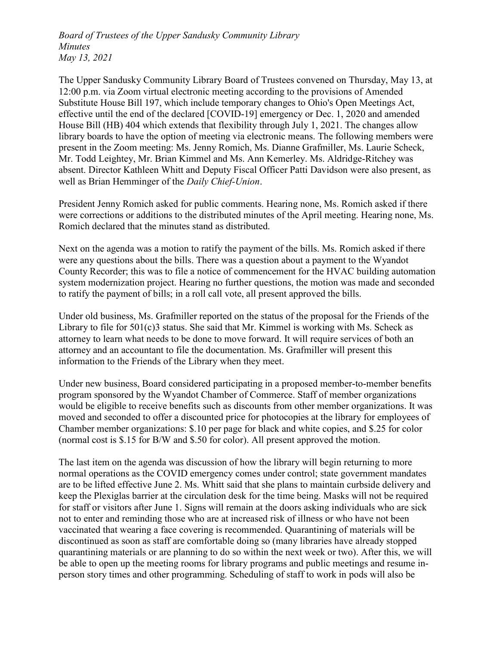Board of Trustees of the Upper Sandusky Community Library Minutes May 13, 2021

The Upper Sandusky Community Library Board of Trustees convened on Thursday, May 13, at 12:00 p.m. via Zoom virtual electronic meeting according to the provisions of Amended Substitute House Bill 197, which include temporary changes to Ohio's Open Meetings Act, effective until the end of the declared [COVID-19] emergency or Dec. 1, 2020 and amended House Bill (HB) 404 which extends that flexibility through July 1, 2021. The changes allow library boards to have the option of meeting via electronic means. The following members were present in the Zoom meeting: Ms. Jenny Romich, Ms. Dianne Grafmiller, Ms. Laurie Scheck, Mr. Todd Leightey, Mr. Brian Kimmel and Ms. Ann Kemerley. Ms. Aldridge-Ritchey was absent. Director Kathleen Whitt and Deputy Fiscal Officer Patti Davidson were also present, as well as Brian Hemminger of the *Daily Chief-Union*.

President Jenny Romich asked for public comments. Hearing none, Ms. Romich asked if there were corrections or additions to the distributed minutes of the April meeting. Hearing none, Ms. Romich declared that the minutes stand as distributed.

Next on the agenda was a motion to ratify the payment of the bills. Ms. Romich asked if there were any questions about the bills. There was a question about a payment to the Wyandot County Recorder; this was to file a notice of commencement for the HVAC building automation system modernization project. Hearing no further questions, the motion was made and seconded to ratify the payment of bills; in a roll call vote, all present approved the bills.

Under old business, Ms. Grafmiller reported on the status of the proposal for the Friends of the Library to file for 501(c)3 status. She said that Mr. Kimmel is working with Ms. Scheck as attorney to learn what needs to be done to move forward. It will require services of both an attorney and an accountant to file the documentation. Ms. Grafmiller will present this information to the Friends of the Library when they meet.

Under new business, Board considered participating in a proposed member-to-member benefits program sponsored by the Wyandot Chamber of Commerce. Staff of member organizations would be eligible to receive benefits such as discounts from other member organizations. It was moved and seconded to offer a discounted price for photocopies at the library for employees of Chamber member organizations: \$.10 per page for black and white copies, and \$.25 for color (normal cost is \$.15 for B/W and \$.50 for color). All present approved the motion.

The last item on the agenda was discussion of how the library will begin returning to more normal operations as the COVID emergency comes under control; state government mandates are to be lifted effective June 2. Ms. Whitt said that she plans to maintain curbside delivery and keep the Plexiglas barrier at the circulation desk for the time being. Masks will not be required for staff or visitors after June 1. Signs will remain at the doors asking individuals who are sick not to enter and reminding those who are at increased risk of illness or who have not been vaccinated that wearing a face covering is recommended. Quarantining of materials will be discontinued as soon as staff are comfortable doing so (many libraries have already stopped quarantining materials or are planning to do so within the next week or two). After this, we will be able to open up the meeting rooms for library programs and public meetings and resume inperson story times and other programming. Scheduling of staff to work in pods will also be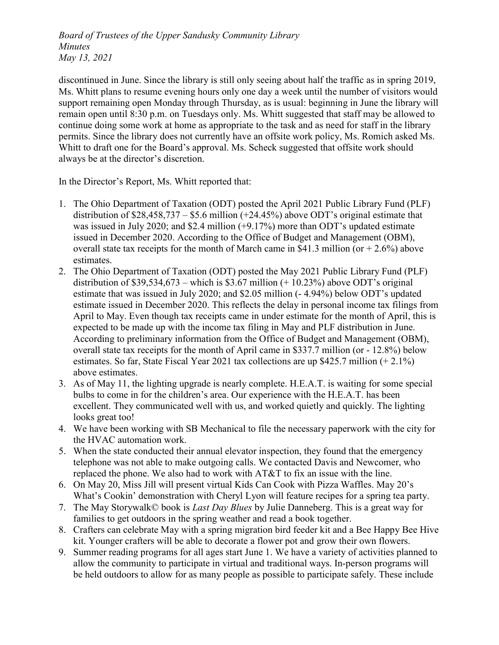Board of Trustees of the Upper Sandusky Community Library Minutes May 13, 2021

discontinued in June. Since the library is still only seeing about half the traffic as in spring 2019, Ms. Whitt plans to resume evening hours only one day a week until the number of visitors would support remaining open Monday through Thursday, as is usual: beginning in June the library will remain open until 8:30 p.m. on Tuesdays only. Ms. Whitt suggested that staff may be allowed to continue doing some work at home as appropriate to the task and as need for staff in the library permits. Since the library does not currently have an offsite work policy, Ms. Romich asked Ms. Whitt to draft one for the Board's approval. Ms. Scheck suggested that offsite work should always be at the director's discretion.

In the Director's Report, Ms. Whitt reported that:

- 1. The Ohio Department of Taxation (ODT) posted the April 2021 Public Library Fund (PLF) distribution of  $$28,458,737 - $5.6$  million (+24.45%) above ODT's original estimate that was issued in July 2020; and \$2.4 million (+9.17%) more than ODT's updated estimate issued in December 2020. According to the Office of Budget and Management (OBM), overall state tax receipts for the month of March came in \$41.3 million (or  $+ 2.6\%$ ) above estimates.
- 2. The Ohio Department of Taxation (ODT) posted the May 2021 Public Library Fund (PLF) distribution of  $$39,534,673$  – which is  $$3.67$  million (+ 10.23%) above ODT's original estimate that was issued in July 2020; and \$2.05 million (- 4.94%) below ODT's updated estimate issued in December 2020. This reflects the delay in personal income tax filings from April to May. Even though tax receipts came in under estimate for the month of April, this is expected to be made up with the income tax filing in May and PLF distribution in June. According to preliminary information from the Office of Budget and Management (OBM), overall state tax receipts for the month of April came in \$337.7 million (or - 12.8%) below estimates. So far, State Fiscal Year 2021 tax collections are up \$425.7 million (+ 2.1%) above estimates.
- 3. As of May 11, the lighting upgrade is nearly complete. H.E.A.T. is waiting for some special bulbs to come in for the children's area. Our experience with the H.E.A.T. has been excellent. They communicated well with us, and worked quietly and quickly. The lighting looks great too!
- 4. We have been working with SB Mechanical to file the necessary paperwork with the city for the HVAC automation work.
- 5. When the state conducted their annual elevator inspection, they found that the emergency telephone was not able to make outgoing calls. We contacted Davis and Newcomer, who replaced the phone. We also had to work with AT&T to fix an issue with the line.
- 6. On May 20, Miss Jill will present virtual Kids Can Cook with Pizza Waffles. May 20's What's Cookin' demonstration with Cheryl Lyon will feature recipes for a spring tea party.
- 7. The May Storywalk© book is Last Day Blues by Julie Danneberg. This is a great way for families to get outdoors in the spring weather and read a book together.
- 8. Crafters can celebrate May with a spring migration bird feeder kit and a Bee Happy Bee Hive kit. Younger crafters will be able to decorate a flower pot and grow their own flowers.
- 9. Summer reading programs for all ages start June 1. We have a variety of activities planned to allow the community to participate in virtual and traditional ways. In-person programs will be held outdoors to allow for as many people as possible to participate safely. These include